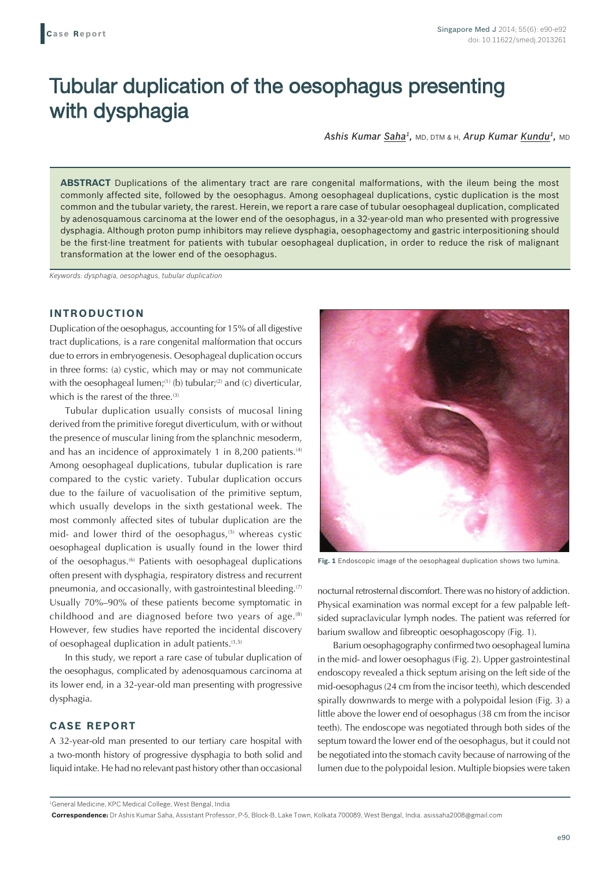# Tubular duplication of the oesophagus presenting with dysphagia

*Ashis Kumar Saha1,* MD, DTM & H, *Arup Kumar Kundu1,* MD

**ABSTRACT** Duplications of the alimentary tract are rare congenital malformations, with the ileum being the most commonly affected site, followed by the oesophagus. Among oesophageal duplications, cystic duplication is the most common and the tubular variety, the rarest. Herein, we report a rare case of tubular oesophageal duplication, complicated by adenosquamous carcinoma at the lower end of the oesophagus, in a 32-year-old man who presented with progressive dysphagia. Although proton pump inhibitors may relieve dysphagia, oesophagectomy and gastric interpositioning should be the first-line treatment for patients with tubular oesophageal duplication, in order to reduce the risk of malignant transformation at the lower end of the oesophagus.

*Keywords: dysphagia, oesophagus, tubular duplication*

## **INTRODUCTION**

Duplication of the oesophagus, accounting for 15% of all digestive tract duplications, is a rare congenital malformation that occurs due to errors in embryogenesis. Oesophageal duplication occurs in three forms: (a) cystic, which may or may not communicate with the oesophageal lumen;<sup>(1)</sup> (b) tubular;<sup>(2)</sup> and (c) diverticular, which is the rarest of the three.<sup>(3)</sup>

Tubular duplication usually consists of mucosal lining derived from the primitive foregut diverticulum, with or without the presence of muscular lining from the splanchnic mesoderm, and has an incidence of approximately 1 in 8,200 patients. $(4)$ Among oesophageal duplications, tubular duplication is rare compared to the cystic variety. Tubular duplication occurs due to the failure of vacuolisation of the primitive septum, which usually develops in the sixth gestational week. The most commonly affected sites of tubular duplication are the mid- and lower third of the oesophagus,<sup>(5)</sup> whereas cystic oesophageal duplication is usually found in the lower third of the oesophagus.(6) Patients with oesophageal duplications often present with dysphagia, respiratory distress and recurrent pneumonia, and occasionally, with gastrointestinal bleeding.<sup>(7)</sup> Usually 70%–90% of these patients become symptomatic in childhood and are diagnosed before two years of age. $(8)$ However, few studies have reported the incidental discovery of oesophageal duplication in adult patients.<sup>(1,5)</sup>

In this study, we report a rare case of tubular duplication of the oesophagus, complicated by adenosquamous carcinoma at its lower end, in a 32-year-old man presenting with progressive dysphagia.

### **CASE REPORT**

A 32-year-old man presented to our tertiary care hospital with a two-month history of progressive dysphagia to both solid and liquid intake. He had no relevant past history other than occasional



**Fig. 1** Endoscopic image of the oesophageal duplication shows two lumina.

nocturnal retrosternal discomfort. There was no history of addiction. Physical examination was normal except for a few palpable leftsided supraclavicular lymph nodes. The patient was referred for barium swallow and fibreoptic oesophagoscopy (Fig. 1).

Barium oesophagography confirmed two oesophageal lumina in the mid- and lower oesophagus (Fig. 2). Upper gastrointestinal endoscopy revealed a thick septum arising on the left side of the mid-oesophagus (24 cm from the incisor teeth), which descended spirally downwards to merge with a polypoidal lesion (Fig. 3) a little above the lower end of oesophagus (38 cm from the incisor teeth). The endoscope was negotiated through both sides of the septum toward the lower end of the oesophagus, but it could not be negotiated into the stomach cavity because of narrowing of the lumen due to the polypoidal lesion. Multiple biopsies were taken

<sup>1</sup> General Medicine, KPC Medical College, West Bengal, India

**Correspondence:** Dr Ashis Kumar Saha, Assistant Professor, P-5, Block-B, Lake Town, Kolkata 700089, West Bengal, India. asissaha2008@gmail.com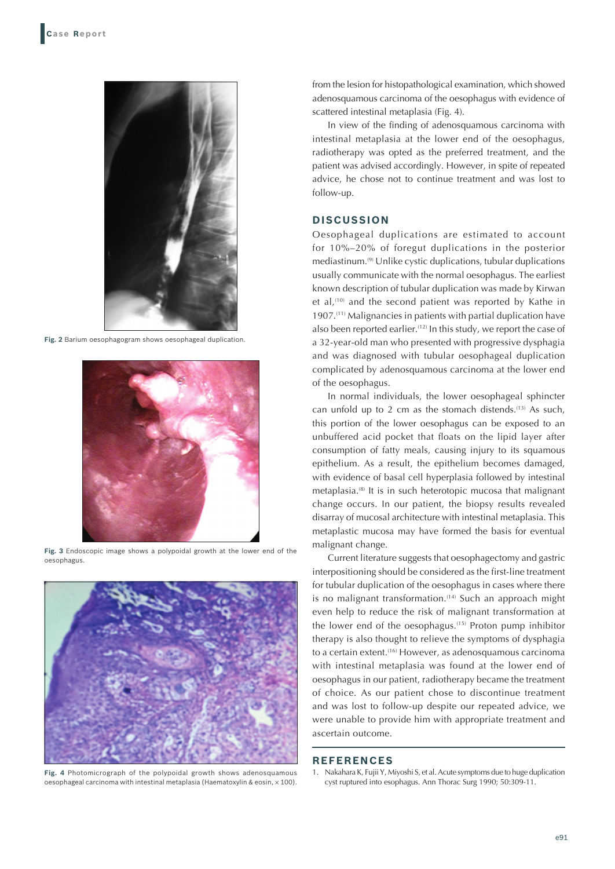

**Fig. 2** Barium oesophagogram shows oesophageal duplication.



**Fig. 3** Endoscopic image shows a polypoidal growth at the lower end of the oesophagus.



**Fig. 4** Photomicrograph of the polypoidal growth shows adenosquamous oesophageal carcinoma with intestinal metaplasia (Haematoxylin & eosin,  $\times$  100).

from the lesion for histopathological examination, which showed adenosquamous carcinoma of the oesophagus with evidence of scattered intestinal metaplasia (Fig. 4).

In view of the finding of adenosquamous carcinoma with intestinal metaplasia at the lower end of the oesophagus, radiotherapy was opted as the preferred treatment, and the patient was advised accordingly. However, in spite of repeated advice, he chose not to continue treatment and was lost to follow-up.

### **DISCUSSION**

Oesophageal duplications are estimated to account for 10%–20% of foregut duplications in the posterior mediastinum.(9) Unlike cystic duplications, tubular duplications usually communicate with the normal oesophagus. The earliest known description of tubular duplication was made by Kirwan et al,<sup>(10)</sup> and the second patient was reported by Kathe in 1907.(11) Malignancies in patients with partial duplication have also been reported earlier.<sup>(12)</sup> In this study, we report the case of a 32-year-old man who presented with progressive dysphagia and was diagnosed with tubular oesophageal duplication complicated by adenosquamous carcinoma at the lower end of the oesophagus.

In normal individuals, the lower oesophageal sphincter can unfold up to 2 cm as the stomach distends.<sup>(13)</sup> As such, this portion of the lower oesophagus can be exposed to an unbuffered acid pocket that floats on the lipid layer after consumption of fatty meals, causing injury to its squamous epithelium. As a result, the epithelium becomes damaged, with evidence of basal cell hyperplasia followed by intestinal metaplasia.(8) It is in such heterotopic mucosa that malignant change occurs. In our patient, the biopsy results revealed disarray of mucosal architecture with intestinal metaplasia. This metaplastic mucosa may have formed the basis for eventual malignant change.

Current literature suggests that oesophagectomy and gastric interpositioning should be considered as the first-line treatment for tubular duplication of the oesophagus in cases where there is no malignant transformation. $(14)$  Such an approach might even help to reduce the risk of malignant transformation at the lower end of the oesophagus.(15) Proton pump inhibitor therapy is also thought to relieve the symptoms of dysphagia to a certain extent.<sup>(16)</sup> However, as adenosquamous carcinoma with intestinal metaplasia was found at the lower end of oesophagus in our patient, radiotherapy became the treatment of choice. As our patient chose to discontinue treatment and was lost to follow-up despite our repeated advice, we were unable to provide him with appropriate treatment and ascertain outcome.

#### **REFERENCES**

1. Nakahara K, Fujii Y, Miyoshi S, et al. Acute symptoms due to huge duplication cyst ruptured into esophagus. Ann Thorac Surg 1990; 50:309-11.